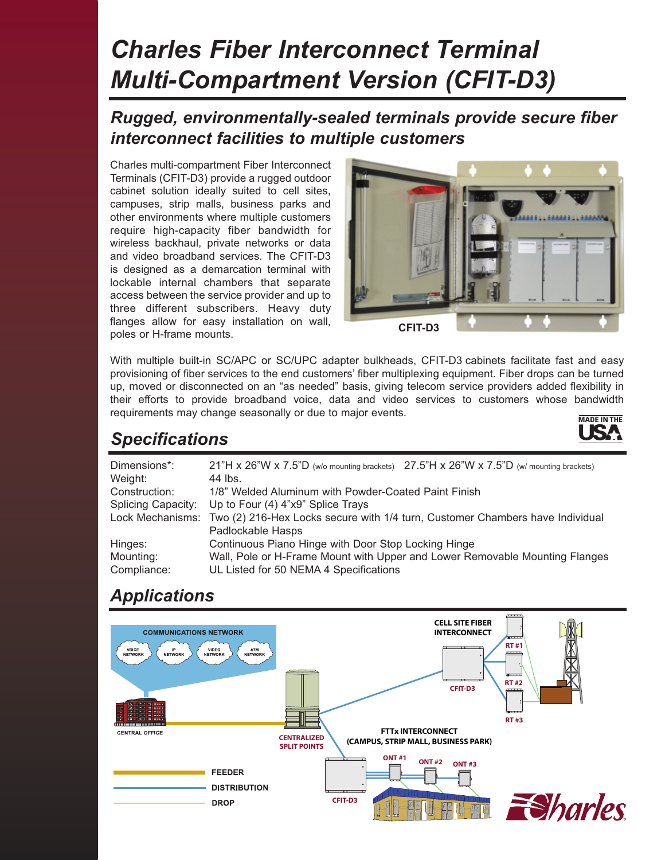# *Charles Fiber Interconnect Terminal Multi-Compartment Version (CFIT-D3)*

#### *Rugged, environmentally-sealed terminals provide secure fiber interconnect facilities to multiple customers*

Charles multi-compartment Fiber Interconnect Terminals (CFIT-D3) provide a rugged outdoor cabinet solution ideally suited to cell sites, campuses, strip malls, business parks and other environments where multiple customers require high-capacity fiber bandwidth for wireless backhaul, private networks or data and video broadband services. The CFIT-D3 is designed as a demarcation terminal with lockable internal chambers that separate access between the service provider and up to three different subscribers. Heavy duty flanges allow for easy installation on wall, poles or H-frame mounts.



With multiple built-in SC/APC or SC/UPC adapter bulkheads, CFIT-D3 cabinets facilitate fast and easy provisioning of fiber services to the end customers' fiber multiplexing equipment. Fiber drops can be turned up, moved or disconnected on an "as needed" basis, giving telecom service providers added flexibility in their efforts to provide broadband voice, data and video services to customers whose bandwidth requirements may change seasonally or due to major events.



# *Specifications*

| Dimensions*:<br>Weight:   | 21"H x 26"W x 7.5"D (w/o mounting brackets) 27.5"H x 26"W x 7.5"D (w/ mounting brackets)<br>44 lbs. |
|---------------------------|-----------------------------------------------------------------------------------------------------|
| Construction:             | 1/8" Welded Aluminum with Powder-Coated Paint Finish                                                |
| <b>Splicing Capacity:</b> | Up to Four (4) 4"x9" Splice Trays                                                                   |
| Lock Mechanisms:          | Two (2) 216-Hex Locks secure with 1/4 turn, Customer Chambers have Individual                       |
|                           | Padlockable Hasps                                                                                   |
| Hinges:                   | Continuous Piano Hinge with Door Stop Locking Hinge                                                 |
| Mounting:                 | Wall, Pole or H-Frame Mount with Upper and Lower Removable Mounting Flanges                         |
| Compliance:               | UL Listed for 50 NEMA 4 Specifications                                                              |

# *Applications*